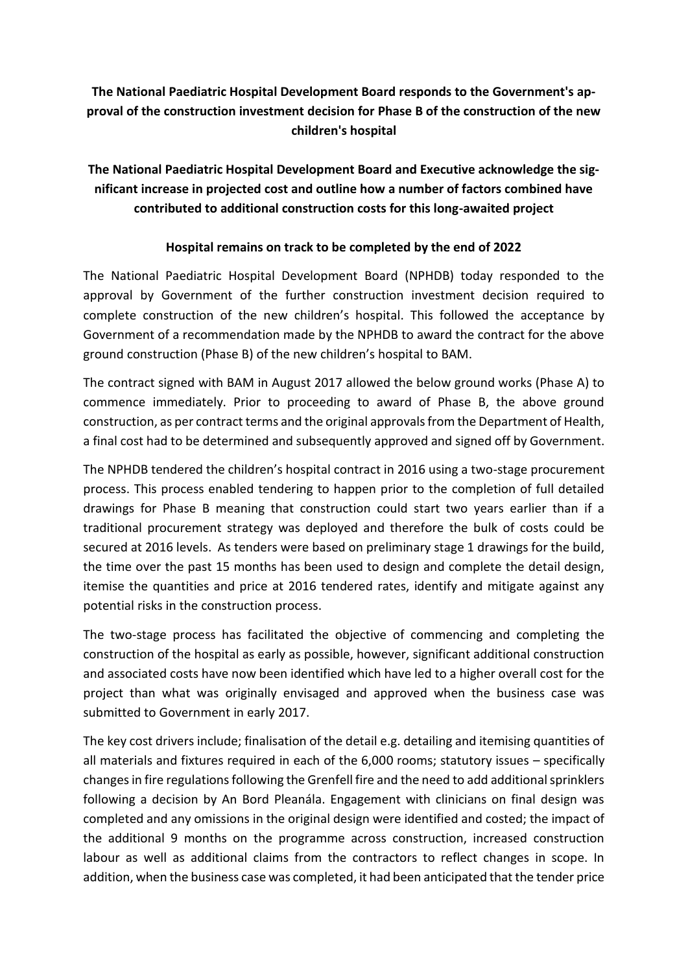## **The National Paediatric Hospital Development Board responds to the Government's approval of the construction investment decision for Phase B of the construction of the new children's hospital**

## **The National Paediatric Hospital Development Board and Executive acknowledge the significant increase in projected cost and outline how a number of factors combined have contributed to additional construction costs for this long-awaited project**

## **Hospital remains on track to be completed by the end of 2022**

The National Paediatric Hospital Development Board (NPHDB) today responded to the approval by Government of the further construction investment decision required to complete construction of the new children's hospital. This followed the acceptance by Government of a recommendation made by the NPHDB to award the contract for the above ground construction (Phase B) of the new children's hospital to BAM.

The contract signed with BAM in August 2017 allowed the below ground works (Phase A) to commence immediately. Prior to proceeding to award of Phase B, the above ground construction, as per contract terms and the original approvals from the Department of Health, a final cost had to be determined and subsequently approved and signed off by Government.

The NPHDB tendered the children's hospital contract in 2016 using a two-stage procurement process. This process enabled tendering to happen prior to the completion of full detailed drawings for Phase B meaning that construction could start two years earlier than if a traditional procurement strategy was deployed and therefore the bulk of costs could be secured at 2016 levels. As tenders were based on preliminary stage 1 drawings for the build, the time over the past 15 months has been used to design and complete the detail design, itemise the quantities and price at 2016 tendered rates, identify and mitigate against any potential risks in the construction process.

The two-stage process has facilitated the objective of commencing and completing the construction of the hospital as early as possible, however, significant additional construction and associated costs have now been identified which have led to a higher overall cost for the project than what was originally envisaged and approved when the business case was submitted to Government in early 2017.

The key cost drivers include; finalisation of the detail e.g. detailing and itemising quantities of all materials and fixtures required in each of the 6,000 rooms; statutory issues – specifically changes in fire regulations following the Grenfell fire and the need to add additional sprinklers following a decision by An Bord Pleanála. Engagement with clinicians on final design was completed and any omissions in the original design were identified and costed; the impact of the additional 9 months on the programme across construction, increased construction labour as well as additional claims from the contractors to reflect changes in scope. In addition, when the business case was completed, it had been anticipated that the tender price